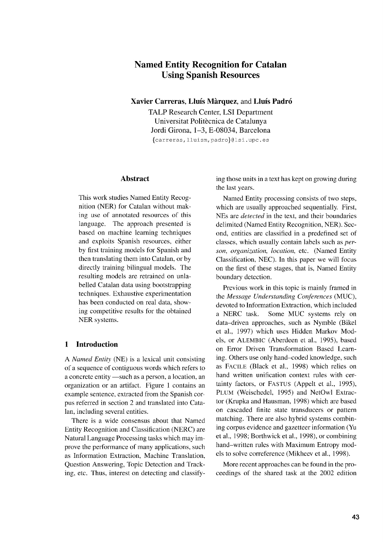# **Named Entity Recognition for Catalan Using Spanish Resources**

**Xavier Carreras, Lluis Marquez,** and **Lluis PadrO**

TALP Research Center, LSI Department Universitat Politècnica de Catalunya Jordi Girona, 1-3, E-08034, Barcelona {carreras, lluism, padro}@lsi.upc.es

#### **Abstract**

This work studies Named Entity Recognition (NER) for Catalan without making use of annotated resources of this language. The approach presented is based on machine learning techniques and exploits Spanish resources, either by first training models for Spanish and then translating them into Catalan, or by directly training bilingual models. The resulting models are retrained on unlabelled Catalan data using bootstrapping techniques. Exhaustive experimentation has been conducted on real data, showing competitive results for the obtained NER systems.

# **1 Introduction**

A *Named Entity* (NE) is a lexical unit consisting of a sequence of contiguous words which refers to a concrete entity —such as a person, a location, an organization or an artifact. Figure 1 contains an example sentence, extracted from the Spanish corpus referred in section 2 and translated into Catalan, including several entities.

There is a wide consensus about that Named Entity Recognition and Classification (NERC) are Natural Language Processing tasks which may improve the performance of many applications, such as Information Extraction, Machine Translation, Question Answering, Topic Detection and Tracking, etc. Thus, interest on detecting and classifying those units in a text has kept on growing during the last years.

Named Entity processing consists of two steps, which are usually approached sequentially. First, NEs are *detected* in the text, and their boundaries delimited (Named Entity Recognition, NER). Second, entities are classified in a predefined set of classes, which usually contain labels such as *person, organization, location,* etc. (Named Entity Classification, NEC). In this paper we will focus on the first of these stages, that is, Named Entity boundary detection.

Previous work in this topic is mainly framed in the *Message Understanding Conferences* (MUC), devoted to Information Extraction, which included a NERC task. Some MUC systems rely on data–driven approaches, such as Nymble (Bikel et al., 1997) which uses Hidden Markov Models, or ALEMBIC (Aberdeen et al., 1995), based on Error Driven Transformation Based Learning. Others use only hand–coded knowledge, such as FACILE (Black et al., 1998) which relies on hand written unification context rules with certainty factors, or FASTUS (Appelt et al., 1995), PLUM (Weischedel, 1995) and NetOwl Extractor (Krupka and Hausman, 1998) which are based on cascaded finite state transducers or pattern matching. There are also hybrid systems combining corpus evidence and gazetteer information (Yu et al., 1998; Borthwick et al., 1998), or combining hand–written rules with Maximum Entropy models to solve correference (Mikheev et al., 1998).

More recent approaches can be found in the proceedings of the shared task at the 2002 edition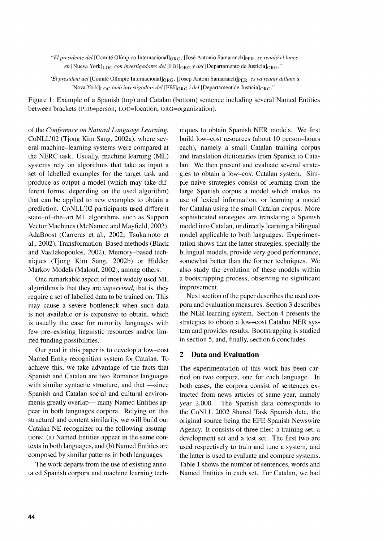*"El presidente del* [Comite OlImpico Internacional]oRG, [Jose Antonio Samaranch]pER, *se reuni6 el lunes en* [Nueva York]<sub>LOC</sub> con investigadores del [FBI]<sub>ORG</sub> y del [Departamento de Justicia]<sub>ORG</sub>."

*"El president del* [Comite Olimpie Internacional]oRG, [Josep Antoni Samaranch]pER, *es va reunir dilluns a* [Nova York]Loc *amb investigadors del* [FBI]oRG *i del* [Departament de Justicia]oRG."

Figure 1: Example of a Spanish (top) and Catalan (bottom) sentence including several Named Entities between brackets (PER=person, Loc=location, oRG=organization).

of the *Conference on Natural Language Learning,* CoNLL'02 (Tjong Kim Sang, 2002a), where several machine–learning systems were compared at the NERC task. Usually, machine learning (ML) systems rely on algorithms that take as input a set of labelled examples for the target task and produce as output a model (which may take different forms, depending on the used algorithm) that can be applied to new examples to obtain a prediction. CoNLL'02 participants used different state–of–the–art ML algorithms, such as Support Vector Machines (McNamee and Mayfield, 2002), AdaBoost (Carreras et al., 2002; Tsukamoto et al., 2002), Transformation–Based methods (Black and Vasilakopoulos, 2002), Memory–based techniques (Tjong Kim Sang, 2002b) or Hidden Markov Models (Malouf, 2002), among others.

One remarkable aspect of most widely used ML algorithms is that they are *supervised,* that is, they require a set of labelled data to be trained on. This may cause a severe bottleneck when such data is not available or is expensive to obtain, which is usually the case for minority languages with few pre–existing linguistic resources and/or limited funding possibilities.

Our goal in this paper is to develop a low–cost Named Entity recognition system for Catalan. To achieve this, we take advantage of the facts that Spanish and Catalan are two Romance languages with similar syntactic structure, and that —since Spanish and Catalan social and cultural environments greatly overlap— many Named Entities appear in both languages corpora. Relying on this structural and content similarity, we will build our Catalan NE recognizer on the following assumptions: (a) Named Entities appear in the same contexts in both languages, and (b) Named Entities are composed by similar patterns in both languages.

The work departs from the use of existing annotated Spanish corpora and machine learning tech-

niques to obtain Spanish NER models. We first build low–cost resources (about 10 person–hours each), namely a small Catalan training corpus and translation dictionaries from Spanish to Catalan. We then present and evaluate several strategies to obtain a low–cost Catalan system. Simple naive strategies consist of learning from the large Spanish corpus a model which makes no use of lexical information, or learning a model for Catalan using the small Catalan corpus. More sophisticated strategies are translating a Spanish model into Catalan, or directly learning a bilingual model applicable to both languages. Experimentation shows that the latter strategies, specially the bilingual models, provide very good performance, somewhat better than the former techniques. We also study the evolution of these models within a bootstrapping process, observing no significant improvement.

Next section of the paper describes the used corpora and evaluation measures. Section 3 describes the NER learning system. Section 4 presents the strategies to obtain a low–cost Catalan NER system and provides results. Bootstrapping is studied in section 5, and, finally, section 6 concludes.

# **2 Data and Evaluation**

The experimentation of this work has been carried on two corpora, one for each language. In both cases, the corpora consist of sentences extracted from news articles of same year, namely year 2,000. The Spanish data corresponds to the CoNLL 2002 Shared Task Spanish data, the original source being the EFE Spanish Newswire Agency. It consists of three files: a training set, a development set and a test set. The first two are used respectively to train and tune a system, and the latter is used to evaluate and compare systems. Table 1 shows the number of sentences, words and Named Entities in each set. For Catalan, we had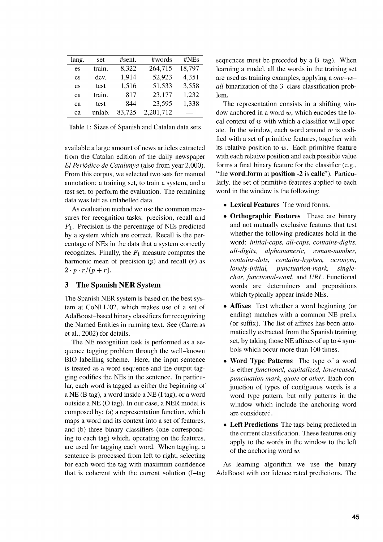| lang. | set    | #sent. | #words    | #NEs   |
|-------|--------|--------|-----------|--------|
| es    | train. | 8,322  | 264,715   | 18,797 |
| es    | dev.   | 1,914  | 52,923    | 4,351  |
| es    | test   | 1,516  | 51,533    | 3,558  |
| ca    | train. | 817    | 23,177    | 1,232  |
| cа    | test   | 844    | 23,595    | 1,338  |
| cа    | unlab. | 83,725 | 2,201,712 |        |

Table 1: Sizes of Spanish and Catalan data sets

available a large amount of news articles extracted from the Catalan edition of the daily newspaper *El Periódico de Catalunya* (also from year 2,000). From this corpus, we selected two sets for manual annotation: a training set, to train a system, and a test set, to perform the evaluation. The remaining data was left as unlabelled data.

As evaluation method we use the common measures for recognition tasks: precision, recall and  $F_1$ . Precision is the percentage of NEs predicted by a system which are correct. Recall is the percentage of NEs in the data that a system correctly recognizes. Finally, the  $F_1$  measure computes the harmonic mean of precision  $(p)$  and recall  $(r)$  as  $2 \cdot p \cdot r/(p+r)$ .

## 3 The Spanish NER System

The Spanish NER system is based on the best system at CoNLL'02, which makes use of a set of AdaBoost–based binary classifiers for recognizing the Named Entities in running text. See (Carreras et al., 2002) for details.

The NE recognition task is performed as a sequence tagging problem through the well–known BIO labelling scheme. Here, the input sentence is treated as a word sequence and the output tagging codifies the NEs in the sentence. In particular, each word is tagged as either the beginning of a NE (B tag), a word inside a NE (I tag), or a word outside a NE (0 tag). In our case, a NER model is composed by: (a) a representation function, which maps a word and its context into a set of features, and (b) three binary classifiers (one corresponding to each tag) which, operating on the features, are used for tagging each word. When tagging, a sentence is processed from left to right, selecting for each word the tag with maximum confidence that is coherent with the current solution (I–tag sequences must be preceded by a B–tag). When learning a model, all the words in the training set are used as training examples, applying a *one–vsall* binarization of the 3–class classification problem.

The representation consists in a shifting window anchored in a word  $w$ , which encodes the local context of  $w$  with which a classifier will operate. In the window, each word around  $w$  is codified with a set of primitive features, together with its relative position to  $w$ . Each primitive feature with each relative position and each possible value forms a final binary feature for the classifier (e.g., "the word\_form at position -2 is calle"). Particularly, the set of primitive features applied to each word in the window is the following:

- Lexical Features The word forms.
- Orthographic Features These are binary and not mutually exclusive features that test whether the following predicates hold in the word: *initial-caps, all-caps, contains-digits, all-digits, alphanumeric, roman-number, contains-dots, contains-hyphen, acronym, lonely-initial, punctuation-mark, singlechar, functional-word,* and *URL.* Functional words are determiners and prepositions which typically appear inside NEs.
- Affixes Test whether a word beginning (or ending) matches with a common NE prefix (or suffix). The list of affixes has been automatically extracted from the Spanish training set, by taking those NE affixes of up to 4 symbols which occur more than 100 times.
- Word Type Patterns The type of a word is either *functional, capitalized, lowercased, punctuation mark, quote* or *other.* Each conjunction of types of contiguous words is a word type pattern, but only patterns in the window which include the anchoring word are considered.
- Left Predictions The tags being predicted in the current classification. These features only apply to the words in the window to the left of the anchoring word  $w$ .

As learning algorithm we use the binary AdaBoost with confidence rated predictions. The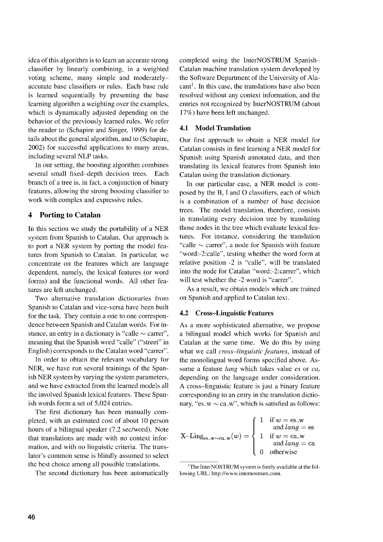idea of this algorithm is to learn an accurate strong classifier by linearly combining, in a weighted voting scheme, many simple and moderately accurate base classifiers or rules. Each base rule is learned sequentially by presenting the base learning algorithm a weighting over the examples, which is dynamically adjusted depending on the behavior of the previously learned rules. We refer the reader to (Schapire and Singer, 1999) for details about the general algorithm, and to (Schapire, 2002) for successful applications to many areas, including several NLP tasks.

In our setting, the boosting algorithm combines several small fixed—depth decision trees. Each branch of a tree is, in fact, a conjunction of binary features, allowing the strong boosting classifier to work with complex and expressive rules.

# **4 Porting to Catalan**

In this section we study the portability of a NER system from Spanish to Catalan. Our approach is to port a NER system by porting the model features from Spanish to Catalan. In particular, we concentrate on the features which are language dependent, namely, the lexical features (or word forms) and the functional words. All other features are left unchanged.

Two alternative translation dictionaries from Spanish to Catalan and vice-versa have been built for the task. They contain a one to one correspondence between Spanish and Catalan words. For instance, an entry in a dictionary is "calle  $\sim$  carrer", meaning that the Spanish word "calle" ("street" in English) corresponds to the Catalan word "carrer".

In order to obtain the relevant vocabulary for NER, we have run several trainings of the Spanish NER system by varying the system parameters, and we have extracted from the learned models all the involved Spanish lexical features. These Spanish words form a set of 5,024 entries.

The first dictionary has been manually completed, with an estimated cost of about 10 person hours of a bilingual speaker (7.2 sec/word). Note that translations are made with no context information, and with no linguistic criteria. The translator's common sense is blindly assumed to select the best choice among all possible translations.

The second dictionary has been automatically

completed using the InterNOSTRUM Spanish— Catalan machine translation system developed by the Software Department of the University of Ala- $\text{cant}^1$ . In this case, the translations have also been resolved without any context information, and the entries not recognized by InterNOSTRUM (about 17%) have been left unchanged.

# **4.1 Model Translation**

Our first approach to obtain a NER model for Catalan consists in first learning a NER model for Spanish using Spanish annotated data, and then translating its lexical features from Spanish into Catalan using the translation dictionary.

In our particular case, a NER model is composed by the B, I and 0 classifiers, each of which is a combination of a number of base decision trees. The model translation, therefore, consists in translating every decision tree by translating those nodes in the tree which evaluate lexical features. For instance, considering the translation "calle  $\sim$  carrer", a node for Spanish with feature "word:-2:calle", testing whether the word form at relative position -2 is "calle", will be translated into the node for Catalan "word:-2:carrer", which will test whether the -2 word is "carrer".

As a result, we obtain models which are trained on Spanish and applied to Catalan text.

#### **4.2 Cross—Linguistic Features**

As a more sophisticated alternative, we propose a bilingual model which works for Spanish and Catalan at the same time. We do this by using what we call *cross—linguistic features,* instead of the monolingual word forms specified above. Assume a feature *lang* which takes value *es* or *ca,* depending on the language under consideration. A cross—linguistic feature is just a binary feature corresponding to an entry in the translation dictionary, "es\_w  $\sim$  ca\_w", which is satisfied as follows:

$$
X\!\!-\!\!\mathrm{Ling}_{\mathrm{es\_w}\sim\mathrm{ca\_w}}(w) = \left\{\begin{array}{ll} 1 & \text{if } w = \mathrm{es\_w} \\ & \text{and } lang = \mathrm{es} \\ 1 & \text{if } w = \mathrm{ca\_w} \\ & \text{and } lang = \mathrm{ca} \\ 0 & \text{otherwise} \end{array}\right.
$$

 $1$ The InterNOSTRUM system is freely available at the following URL: http://www.internostrum.com.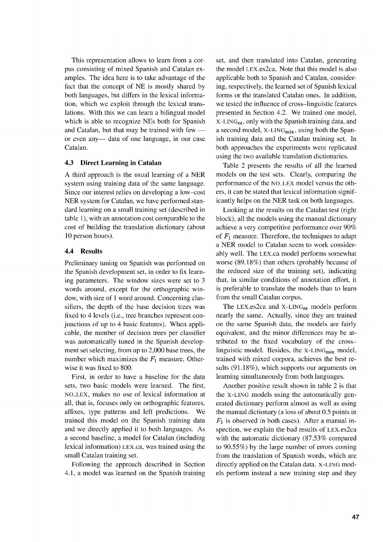This representation allows to learn from a corpus consisting of mixed Spanish and Catalan examples. The idea here is to take advantage of the fact that the concept of NE is mostly shared by both languages, but differs in the lexical information, which we exploit through the lexical translations. With this we can learn a bilingual model which is able to recognize NEs both for Spanish and Catalan, but that may be trained with few or even any— data of one language, in our case Catalan.

#### **4.3 Direct Learning in Catalan**

A third approach is the usual learning of a NER system using training data of the same language. Since our interest relies on developing a low–cost NER system for Catalan, we have performed standard learning on a small training set (described in table 1), with an annotation cost comparable to the cost of building the translation dictionary (about 10 person hours).

## **4.4 Results**

Preliminary tuning on Spanish was performed on the Spanish development set, in order to fix learning parameters. The window sizes were set to 3 words around, except for the orthographic window, with size of 1 word around. Concerning classifiers, the depth of the base decision trees was fixed to 4 levels (i.e., tree branches represent conjunctions of up to 4 basic features). When applicable, the number of decision trees per classifier was automatically tuned in the Spanish development set selecting, from up to 2,000 base trees, the number which maximizes the  $F_1$  measure. Otherwise it was fixed to 800.

First, in order to have a baseline for the data sets, two basic models were learned. The first, NO\_LEX, makes no use of lexical information at all, that is, focuses only on orthographic features, affixes, type patterns and left predictions. We trained this model on the Spanish training data and we directly applied it to both languages. As a second baseline, a model for Catalan (including lexical information) LEx.ca, was trained using the small Catalan training set.

Following the approach described in Section 4.1, a model was learned on the Spanish training set, and then translated into Catalan, generating the model LEx.es2ca. Note that this model is also applicable both to Spanish and Catalan, considering, respectively, the learned set of Spanish lexical forms or the translated Catalan ones. In addition, we tested the influence of cross–linguistic features presented in Section 4.2. We trained one model, X-LING<sub>es</sub>, only with the Spanish training data, and a second model, X-LING<sub>mix</sub>, using both the Spanish training data and the Catalan training set. In both approaches the experiments were replicated using the two available translation dictionaries.

Table 2 presents the results of all the learned models on the test sets. Clearly, comparing the performance of the NO\_LEX model versus the others, it can be stated that lexical information significantly helps on the NER task on both languages.

Looking at the results on the Catalan test (right block), all the models using the manual dictionary achieve a very competitive performance over 90% of  $F_1$  measure. Therefore, the techniques to adapt a NER model to Catalan seem to work considerably well. The LEx.ca model performs somewhat worse (89.18%) than others (probably because of the reduced size of the training set), indicating that, in similar conditions of annotation effort, it is preferable to translate the models than to learn from the small Catalan corpus.

The LEX.es2ca and  $X$ -LING<sub>es</sub> models perform nearly the same. Actually, since they are trained on the same Spanish data, the models are fairly equivalent, and the minor differences may be attributed to the fixed vocabulary of the cross– linguistic model. Besides, the  $X-LING<sub>mix</sub>$  model, trained with mixed corpora, achieves the best results (91.18%), which supports our arguments on learning simultaneously from both languages.

Another positive result shown in table 2 is that the X-LING models using the automatically generated dictionary perform almost as well as using the manual dictionary (a loss of about 0.5 points in  $F_1$  is observed in both cases). After a manual inspection, we explain the bad results of LEx.es2ca with the automatic dictionary (87.53% compared to 90.55%) by the large number of errors coming from the translation of Spanish words, which are directly applied on the Catalan data. X-LING models perform instead a new training step and they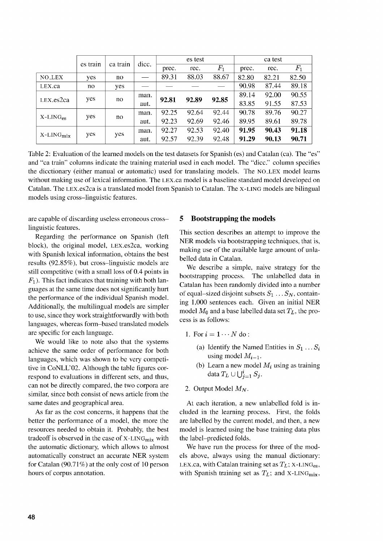|                         | es train | ca train | dicc. | es test |       |             | ca test |       |             |
|-------------------------|----------|----------|-------|---------|-------|-------------|---------|-------|-------------|
|                         |          |          |       | prec.   | rec.  | $F_{\rm 1}$ | prec.   | rec.  | $F_{\rm 1}$ |
| <b>NO_LEX</b>           | yes      | no       |       | 89.31   | 88.03 | 88.67       | 82.80   | 82.21 | 82.50       |
| LEX.ca                  | no       | yes      |       |         |       |             | 90.98   | 87.44 | 89.18       |
| LEX. es2ca              | yes      | no       | man.  | 92.81   | 92.89 | 92.85       | 89.14   | 92.00 | 90.55       |
|                         |          |          | aut.  |         |       |             | 83.85   | 91.55 | 87.53       |
| $X$ -LING <sub>es</sub> | yes      | no       | man.  | 92.25   | 92.64 | 92.44       | 90.78   | 89.76 | 90.27       |
|                         |          |          | aut.  | 92.23   | 92.69 | 92.46       | 89.95   | 89.61 | 89.78       |
| $X$ -LIN $Gmix$         | yes      | yes      | man.  | 92.27   | 92.53 | 92.40       | 91.95   | 90.43 | 91.18       |
|                         |          |          | aut.  | 92.57   | 92.39 | 92.48       | 91.29   | 90.13 | 90.71       |

Table 2: Evaluation of the learned models on the test datasets for Spanish (es) and Catalan (ca). The "es" and "ca train" columns indicate the training material used in each model. The "dicc." column specifies the dicctionary (either manual or automatic) used for translating models. The NO\_LEX model learns without making use of lexical information. The LEx.ca model is a baseline standard model developed on Catalan. The LEx.es2ca is a translated model from Spanish to Catalan. The X-LING models are bilingual models using cross-linguistic features.

are capable of discarding useless erroneous crosslinguistic features.

Regarding the performance on Spanish (left block), the original model, LEx.es2ca, working with Spanish lexical information, obtains the best results (92.85%), but cross-linguistic models are still competitive (with a small loss of 0.4 points in  $F_1$ ). This fact indicates that training with both languages at the same time does not significantly hurt the performance of the individual Spanish model. Additionally, the multilingual models are simpler to use, since they work straightforwardly with both languages, whereas form-based translated models are specific for each language.

We would like to note also that the systems achieve the same order of performance for both languages, which was shown to be very competitive in CoNLL'02. Although the table figures correspond to evaluations in different sets, and thus, can not be directly compared, the two corpora are similar, since both consist of news article from the same dates and geographical area.

As far as the cost concerns, it happens that the better the performance of a model, the more the resources needed to obtain it. Probably, the best tradeoff is observed in the case of  $X-LING<sub>mix</sub>$  with the automatic dictionary, which allows to almost automatically construct an accurate NER system for Catalan (90.71%) at the only cost of 10 person hours of corpus annotation.

### **5 Bootstrapping the models**

This section describes an attempt to improve the NER models via bootstrapping techniques, that is, making use of the available large amount of unlabelled data in Catalan.

We describe a simple, naive strategy for the bootstrapping process. The unlabelled data in Catalan has been randomly divided into a number of equal-sized disjoint subsets  $S_1 \ldots S_N$ , containing 1,000 sentences each. Given an initial NER model  $M_0$  and a base labelled data set  $T_L$ , the process is as follows:

- 1. For  $i = 1 \cdots N$  do:
	- (a) Identify the Named Entities in  $S_1 \dots S_i$ using model  $M_{i-1}$ .
	- (b) Learn a new model  $M_i$  using as training data  $T_L \cup \bigcup_{i=1}^i S_i$ .
- 2. Output Model  $M_N$ .

At each iteration, a new unlabelled fold is included in the learning process. First, the folds are labelled by the current model, and then, a new model is learned using the base training data plus the label-predicted folds.

We have run the process for three of the models above, always using the manual dictionary: LEX.ca, with Catalan training set as  $T_L$ ; X-LING<sub>es</sub>, with Spanish training set as  $T_L$ ; and X-LING<sub>mix</sub>,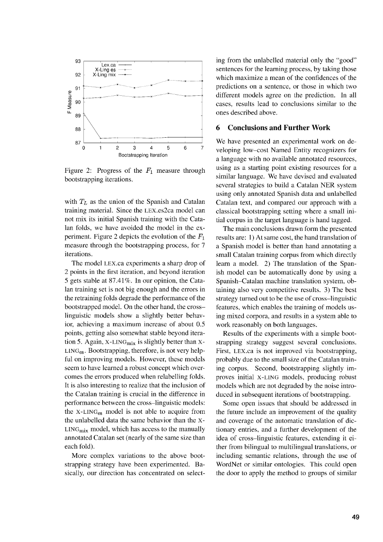

Figure 2: Progress of the  $F_1$  measure through bootstrapping iterations.

with  $T_L$  as the union of the Spanish and Catalan training material. Since the LEx.es2ca model can not mix its initial Spanish training with the Catalan folds, we have avoided the model in the experiment. Figure 2 depicts the evolution of the  $F_1$ measure through the bootstrapping process, for 7 iterations.

The model LEx.ca experiments a sharp drop of 2 points in the first iteration, and beyond iteration 5 gets stable at 87.41%. In our opinion, the Catalan training set is not big enough and the errors in the retraining folds degrade the performance of the bootstrapped model. On the other hand, the cross linguistic models show a slightly better behavior, achieving a maximum increase of about 0.5 points, getting also somewhat stable beyond iteration 5. Again, X-LING $_{mix}$  is slightly better than X- $LING_{es}$ . Bootstrapping, therefore, is not very helpful on improving models. However, these models seem to have learned a robust concept which overcomes the errors produced when relabelling folds. It is also interesting to realize that the inclusion of the Catalan training is crucial in the difference in performance between the cross—linguistic models: the X-LING<sub>es</sub> model is not able to acquire from the unlabelled data the same behavior than the X- $LING<sub>mix</sub> model, which has access to the manually$ annotated Catalan set (nearly of the same size than each fold).

More complex variations to the above bootstrapping strategy have been experimented. Basically, our direction has concentrated on selecting from the unlabelled material only the "good" sentences for the learning process, by taking those which maximize a mean of the confidences of the predictions on a sentence, or those in which two different models agree on the prediction. In all cases, results lead to conclusions similar to the ones described above.

## **6 Conclusions and Further Work**

We have presented an experimental work on developing low—cost Named Entity recognizers for a language with no available annotated resources, using as a starting point existing resources for a similar language. We have devised and evaluated several strategies to build a Catalan NER system using only annotated Spanish data and unlabelled Catalan text, and compared our approach with a classical bootstrapping setting where a small initial corpus in the target language is hand tagged.

The main conclusions drawn form the presented results are: **1)** At same cost, the hand translation of a Spanish model is better than hand annotating a small Catalan training corpus from which directly learn a model. 2) The translation of the Spanish model can be automatically done by using a Spanish—Catalan machine translation system, obtaining also very competitive results. 3) The best strategy turned out to be the use of cross—linguistic features, which enables the training of models using mixed corpora, and results in a system able to work reasonably on both languages.

Results of the experiments with a simple bootstrapping strategy suggest several conclusions. First, LEx.ca is not improved via bootstrapping, probably due to the small size of the Catalan training corpus. Second, bootstrapping slightly improves initial X-LING models, producing robust models which are not degraded by the noise introduced in subsequent iterations of bootstrapping.

Some open issues that should be addressed in the future include an improvement of the quality and coverage of the automatic translation of dictionary entries, and a further development of the idea of cross—linguistic features, extending it either from bilingual to multilingual translations, or including semantic relations, through the use of WordNet or similar ontologies. This could open the door to apply the method to groups of similar